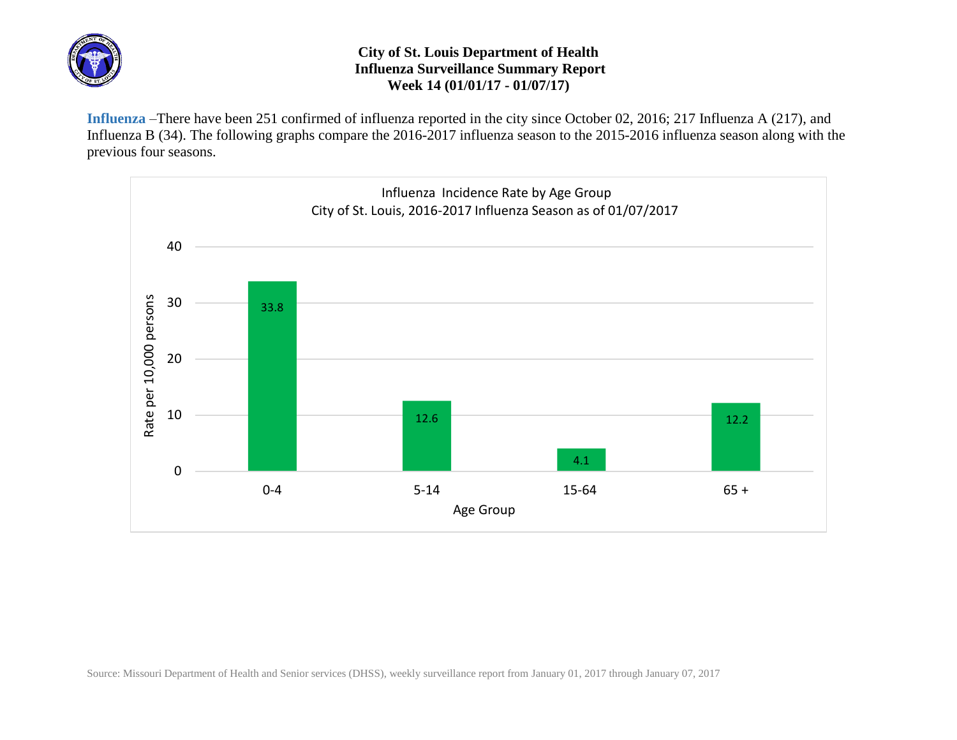

## **City of St. Louis Department of Health Influenza Surveillance Summary Report Week 14 (01/01/17 - 01/07/17)**

**Influenza** –There have been 251 confirmed of influenza reported in the city since October 02, 2016; 217 Influenza A (217), and Influenza B (34). The following graphs compare the 2016-2017 influenza season to the 2015-2016 influenza season along with the previous four seasons.